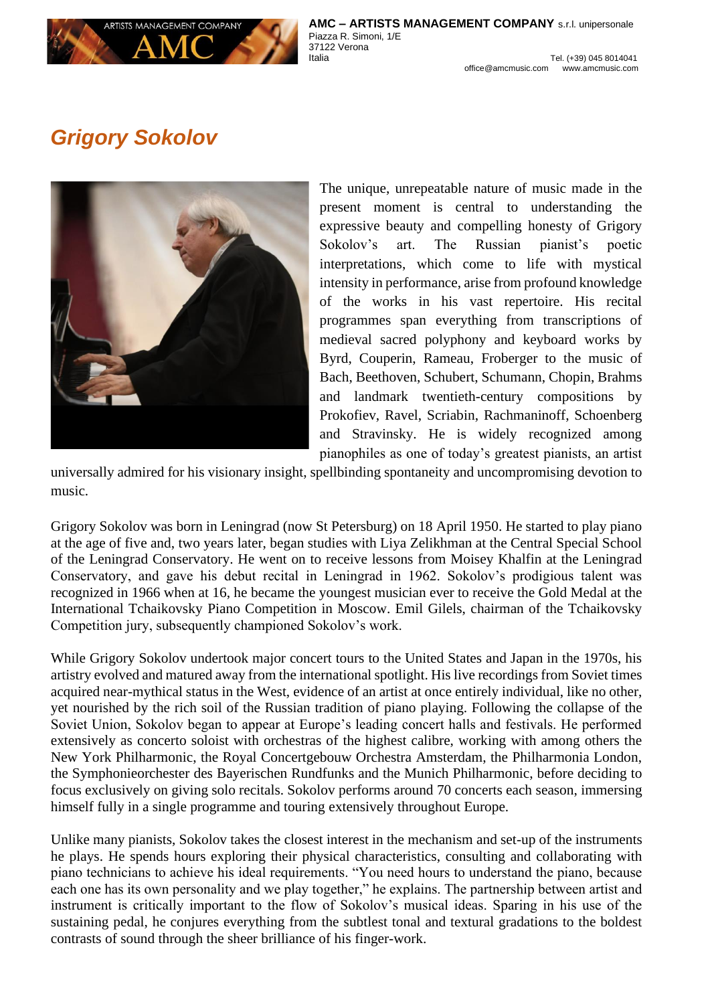

www.amcmusic.com

## *Grigory Sokolov*



The unique, unrepeatable nature of music made in the present moment is central to understanding the expressive beauty and compelling honesty of Grigory Sokolov's art. The Russian pianist's poetic interpretations, which come to life with mystical intensity in performance, arise from profound knowledge of the works in his vast repertoire. His recital programmes span everything from transcriptions of medieval sacred polyphony and keyboard works by Byrd, Couperin, Rameau, Froberger to the music of Bach, Beethoven, Schubert, Schumann, Chopin, Brahms and landmark twentieth-century compositions by Prokofiev, Ravel, Scriabin, Rachmaninoff, Schoenberg and Stravinsky. He is widely recognized among pianophiles as one of today's greatest pianists, an artist

universally admired for his visionary insight, spellbinding spontaneity and uncompromising devotion to music.

Grigory Sokolov was born in Leningrad (now St Petersburg) on 18 April 1950. He started to play piano at the age of five and, two years later, began studies with Liya Zelikhman at the Central Special School of the Leningrad Conservatory. He went on to receive lessons from Moisey Khalfin at the Leningrad Conservatory, and gave his debut recital in Leningrad in 1962. Sokolov's prodigious talent was recognized in 1966 when at 16, he became the youngest musician ever to receive the Gold Medal at the International Tchaikovsky Piano Competition in Moscow. Emil Gilels, chairman of the Tchaikovsky Competition jury, subsequently championed Sokolov's work.

While Grigory Sokolov undertook major concert tours to the United States and Japan in the 1970s, his artistry evolved and matured away from the international spotlight. His live recordings from Soviet times acquired near-mythical status in the West, evidence of an artist at once entirely individual, like no other, yet nourished by the rich soil of the Russian tradition of piano playing. Following the collapse of the Soviet Union, Sokolov began to appear at Europe's leading concert halls and festivals. He performed extensively as concerto soloist with orchestras of the highest calibre, working with among others the New York Philharmonic, the Royal Concertgebouw Orchestra Amsterdam, the Philharmonia London, the Symphonieorchester des Bayerischen Rundfunks and the Munich Philharmonic, before deciding to focus exclusively on giving solo recitals. Sokolov performs around 70 concerts each season, immersing himself fully in a single programme and touring extensively throughout Europe.

Unlike many pianists, Sokolov takes the closest interest in the mechanism and set-up of the instruments he plays. He spends hours exploring their physical characteristics, consulting and collaborating with piano technicians to achieve his ideal requirements. "You need hours to understand the piano, because each one has its own personality and we play together," he explains. The partnership between artist and instrument is critically important to the flow of Sokolov's musical ideas. Sparing in his use of the sustaining pedal, he conjures everything from the subtlest tonal and textural gradations to the boldest contrasts of sound through the sheer brilliance of his finger-work.